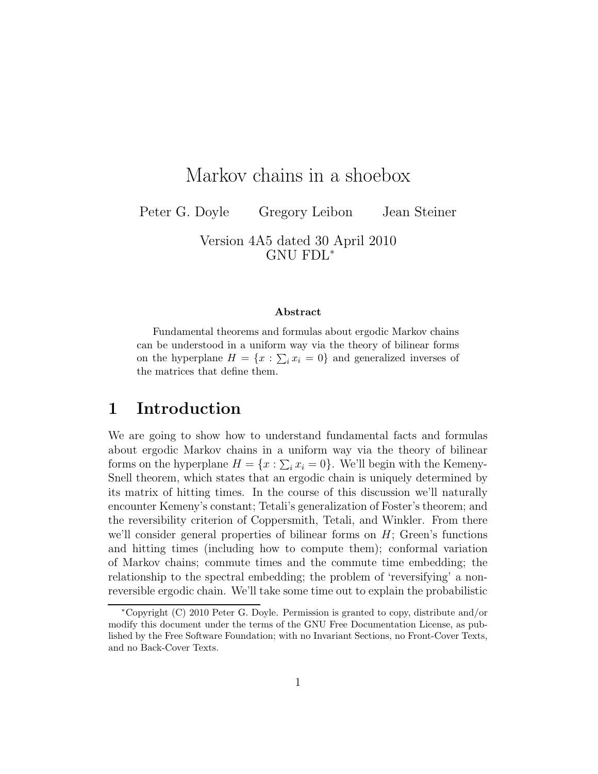# Markov chains in a shoebox

Peter G. Doyle Gregory Leibon Jean Steiner

Version 4A5 dated 30 April 2010 GNU FDL<sup>∗</sup>

#### Abstract

Fundamental theorems and formulas about ergodic Markov chains can be understood in a uniform way via the theory of bilinear forms on the hyperplane  $H = \{x : \sum_i x_i = 0\}$  and generalized inverses of the matrices that define them.

## 1 Introduction

We are going to show how to understand fundamental facts and formulas about ergodic Markov chains in a uniform way via the theory of bilinear forms on the hyperplane  $H = \{x : \sum_i x_i = 0\}$ . We'll begin with the Kemeny-Snell theorem, which states that an ergodic chain is uniquely determined by its matrix of hitting times. In the course of this discussion we'll naturally encounter Kemeny's constant; Tetali's generalization of Foster's theorem; and the reversibility criterion of Coppersmith, Tetali, and Winkler. From there we'll consider general properties of bilinear forms on  $H$ ; Green's functions and hitting times (including how to compute them); conformal variation of Markov chains; commute times and the commute time embedding; the relationship to the spectral embedding; the problem of 'reversifying' a nonreversible ergodic chain. We'll take some time out to explain the probabilistic

<sup>∗</sup>Copyright (C) 2010 Peter G. Doyle. Permission is granted to copy, distribute and/or modify this document under the terms of the GNU Free Documentation License, as published by the Free Software Foundation; with no Invariant Sections, no Front-Cover Texts, and no Back-Cover Texts.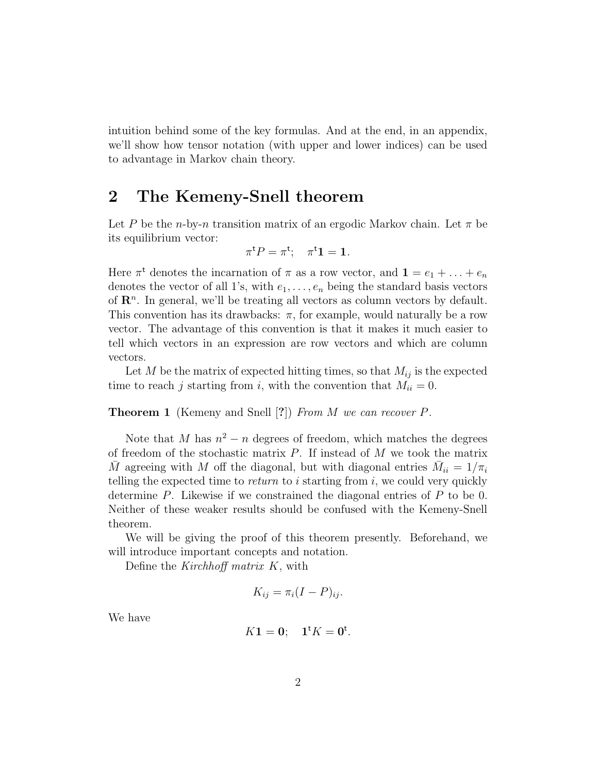intuition behind some of the key formulas. And at the end, in an appendix, we'll show how tensor notation (with upper and lower indices) can be used to advantage in Markov chain theory.

## 2 The Kemeny-Snell theorem

Let P be the n-by-n transition matrix of an ergodic Markov chain. Let  $\pi$  be its equilibrium vector:

$$
\pi^{\mathsf{t}} P = \pi^{\mathsf{t}}; \quad \pi^{\mathsf{t}} \mathbf{1} = \mathbf{1}.
$$

Here  $\pi^t$  denotes the incarnation of  $\pi$  as a row vector, and  $\mathbf{1} = e_1 + \ldots + e_n$ denotes the vector of all 1's, with  $e_1, \ldots, e_n$  being the standard basis vectors of  $\mathbb{R}^n$ . In general, we'll be treating all vectors as column vectors by default. This convention has its drawbacks:  $\pi$ , for example, would naturally be a row vector. The advantage of this convention is that it makes it much easier to tell which vectors in an expression are row vectors and which are column vectors.

Let M be the matrix of expected hitting times, so that  $M_{ij}$  is the expected time to reach j starting from i, with the convention that  $M_{ii} = 0$ .

### **Theorem 1** (Kemeny and Snell [?]) From M we can recover P.

Note that M has  $n^2 - n$  degrees of freedom, which matches the degrees of freedom of the stochastic matrix  $P$ . If instead of  $M$  we took the matrix  $\overline{M}$  agreeing with M off the diagonal, but with diagonal entries  $\overline{M}_{ii} = 1/\pi_i$ telling the expected time to *return* to  $i$  starting from  $i$ , we could very quickly determine P. Likewise if we constrained the diagonal entries of P to be 0. Neither of these weaker results should be confused with the Kemeny-Snell theorem.

We will be giving the proof of this theorem presently. Beforehand, we will introduce important concepts and notation.

Define the Kirchhoff matrix K, with

$$
K_{ij} = \pi_i (I - P)_{ij}.
$$

We have

$$
K\mathbf{1}=\mathbf{0};\quad \mathbf{1}^{\mathsf{t}}K=\mathbf{0}^{\mathsf{t}}.
$$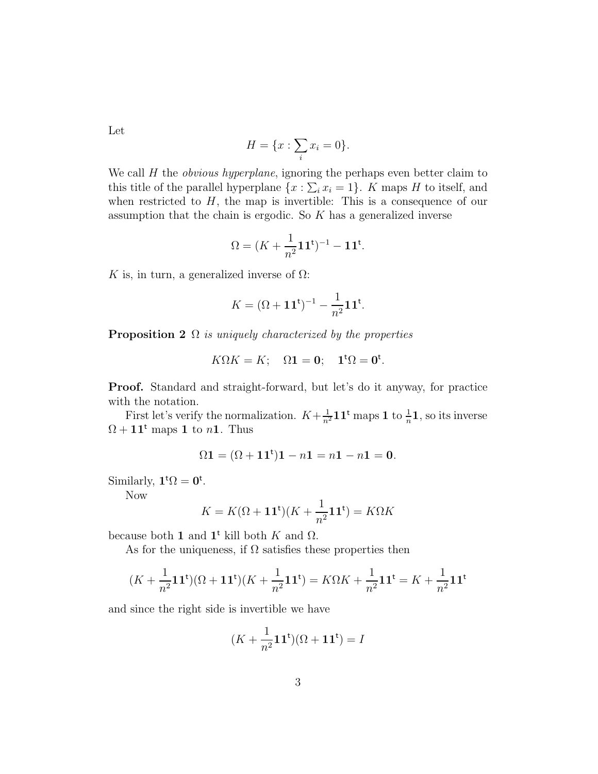Let

$$
H = \{x : \sum_i x_i = 0\}.
$$

We call  $H$  the *obvious hyperplane*, ignoring the perhaps even better claim to this title of the parallel hyperplane  $\{x : \sum_i x_i = 1\}$ . K maps H to itself, and when restricted to  $H$ , the map is invertible: This is a consequence of our assumption that the chain is ergodic. So  $K$  has a generalized inverse

$$
\Omega = (K + \frac{1}{n^2} \mathbf{1} \mathbf{1}^{\mathsf{t}})^{-1} - \mathbf{1} \mathbf{1}^{\mathsf{t}}.
$$

K is, in turn, a generalized inverse of  $\Omega$ :

$$
K = (\Omega + \mathbf{1}\mathbf{1}^{\mathsf{t}})^{-1} - \frac{1}{n^2} \mathbf{1}\mathbf{1}^{\mathsf{t}}.
$$

**Proposition 2**  $\Omega$  *is uniquely characterized by the properties* 

$$
K\Omega K = K; \quad \Omega \mathbf{1} = \mathbf{0}; \quad \mathbf{1}^{\mathsf{t}}\Omega = \mathbf{0}^{\mathsf{t}}.
$$

Proof. Standard and straight-forward, but let's do it anyway, for practice with the notation.

First let's verify the normalization.  $K + \frac{1}{n^2} \mathbf{1} \mathbf{1}^{\mathsf{t}}$  maps  $\mathbf{1}$  to  $\frac{1}{n} \mathbf{1}$ , so its inverse  $\Omega + 11^t$  maps 1 to n1. Thus

$$
\Omega \mathbf{1} = (\Omega + \mathbf{1} \mathbf{1}^{\mathsf{t}}) \mathbf{1} - n \mathbf{1} = n \mathbf{1} - n \mathbf{1} = \mathbf{0}.
$$

Similarly,  $\mathbf{1}^{\mathsf{t}}\Omega = \mathbf{0}^{\mathsf{t}}$ .

Now

$$
K = K(\Omega + \mathbf{1}\mathbf{1}^{\mathsf{t}})(K + \frac{1}{n^2}\mathbf{1}\mathbf{1}^{\mathsf{t}}) = K\Omega K
$$

because both 1 and  $1^t$  kill both K and  $\Omega$ .

As for the uniqueness, if  $\Omega$  satisfies these properties then

$$
(K + \frac{1}{n^2}\mathbf{1}\mathbf{1}^{\mathsf{t}})(\Omega + \mathbf{1}\mathbf{1}^{\mathsf{t}})(K + \frac{1}{n^2}\mathbf{1}\mathbf{1}^{\mathsf{t}}) = K\Omega K + \frac{1}{n^2}\mathbf{1}\mathbf{1}^{\mathsf{t}} = K + \frac{1}{n^2}\mathbf{1}\mathbf{1}^{\mathsf{t}}
$$

and since the right side is invertible we have

$$
(K + \frac{1}{n^2} \mathbf{1} \mathbf{1}^{\mathsf{t}})(\Omega + \mathbf{1} \mathbf{1}^{\mathsf{t}}) = I
$$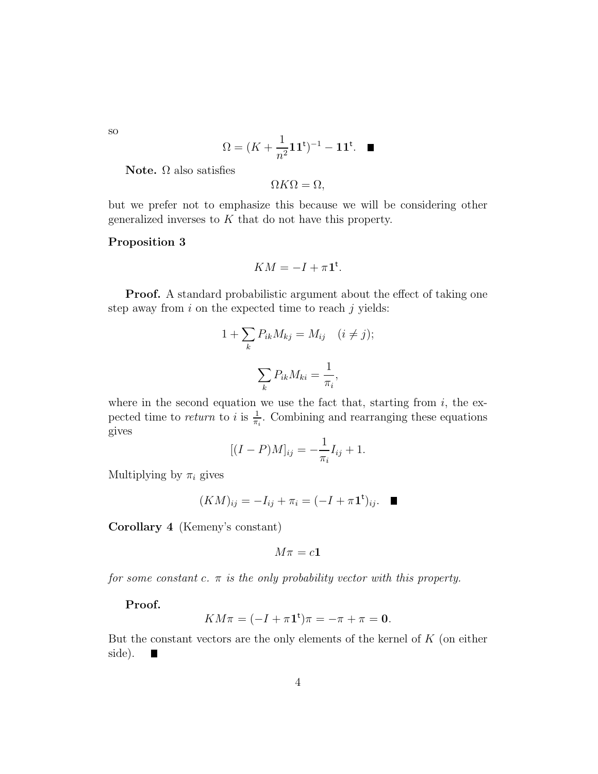so

$$
\Omega = (K + \frac{1}{n^2} \mathbf{1} \mathbf{1}^{\mathsf{t}})^{-1} - \mathbf{1} \mathbf{1}^{\mathsf{t}}. \quad \blacksquare
$$

Note.  $Ω$  also satisfies

 $\Omega K\Omega = \Omega$ ,

but we prefer not to emphasize this because we will be considering other generalized inverses to K that do not have this property.

#### Proposition 3

$$
KM = -I + \pi \mathbf{1}^{\mathsf{t}}.
$$

Proof. A standard probabilistic argument about the effect of taking one step away from  $i$  on the expected time to reach  $j$  yields:

$$
1 + \sum_{k} P_{ik} M_{kj} = M_{ij} \quad (i \neq j);
$$

$$
\sum_{k} P_{ik} M_{ki} = \frac{1}{\pi_i},
$$

where in the second equation we use the fact that, starting from  $i$ , the expected time to *return* to *i* is  $\frac{1}{\pi_i}$ . Combining and rearranging these equations gives

$$
[(I - P)M]_{ij} = -\frac{1}{\pi_i}I_{ij} + 1.
$$

Multiplying by  $\pi_i$  gives

$$
(KM)_{ij} = -I_{ij} + \pi_i = (-I + \pi \mathbf{1}^{\mathsf{t}})_{ij}. \quad \blacksquare
$$

Corollary 4 (Kemeny's constant)

$$
M\pi = c\mathbf{1}
$$

for some constant c.  $\pi$  is the only probability vector with this property.

Proof.

$$
KM\pi = (-I + \pi \mathbf{1}^{\mathbf{t}})\pi = -\pi + \pi = \mathbf{0}.
$$

But the constant vectors are the only elements of the kernel of  $K$  (on either side). F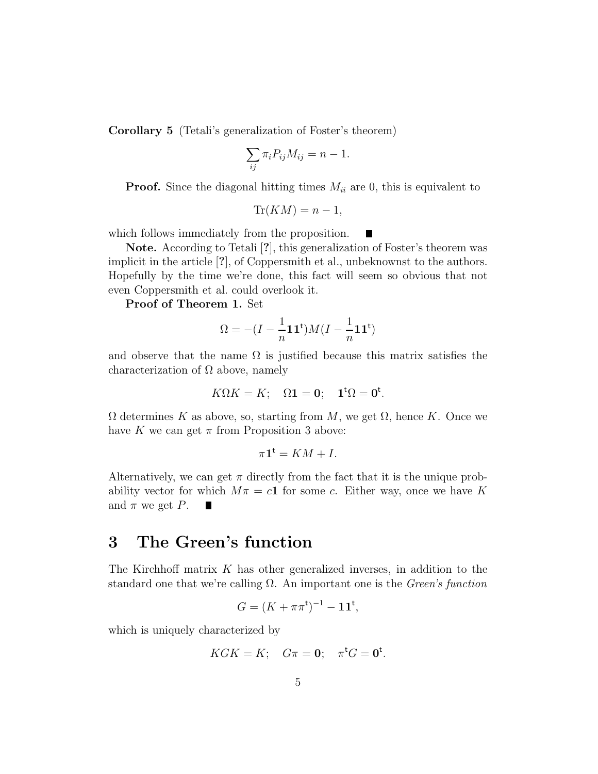Corollary 5 (Tetali's generalization of Foster's theorem)

$$
\sum_{ij} \pi_i P_{ij} M_{ij} = n - 1.
$$

**Proof.** Since the diagonal hitting times  $M_{ii}$  are 0, this is equivalent to

$$
\text{Tr}(KM) = n - 1,
$$

which follows immediately from the proposition.

Note. According to Tetali [?], this generalization of Foster's theorem was implicit in the article [?], of Coppersmith et al., unbeknownst to the authors. Hopefully by the time we're done, this fact will seem so obvious that not even Coppersmith et al. could overlook it.

Proof of Theorem 1. Set

$$
\Omega = -(I - \frac{1}{n} \mathbf{1} \mathbf{1}^{\mathsf{t}})M(I - \frac{1}{n} \mathbf{1} \mathbf{1}^{\mathsf{t}})
$$

and observe that the name  $\Omega$  is justified because this matrix satisfies the characterization of  $\Omega$  above, namely

$$
K\Omega K = K; \quad \Omega \mathbf{1} = \mathbf{0}; \quad \mathbf{1}^{\mathsf{t}}\Omega = \mathbf{0}^{\mathsf{t}}.
$$

 $\Omega$  determines K as above, so, starting from M, we get  $\Omega$ , hence K. Once we have K we can get  $\pi$  from Proposition 3 above:

$$
\pi \mathbf{1}^{\mathsf{t}} = KM + I.
$$

Alternatively, we can get  $\pi$  directly from the fact that it is the unique probability vector for which  $M\pi = c\mathbf{1}$  for some c. Either way, once we have K and  $\pi$  we get P.  $\blacksquare$ 

## 3 The Green's function

The Kirchhoff matrix K has other generalized inverses, in addition to the standard one that we're calling  $\Omega$ . An important one is the *Green's function* 

$$
G = (K + \pi \pi^t)^{-1} - 11^t,
$$

which is uniquely characterized by

$$
KGK = K; \quad G\pi = 0; \quad \pi^{\mathsf{t}}G = 0^{\mathsf{t}}.
$$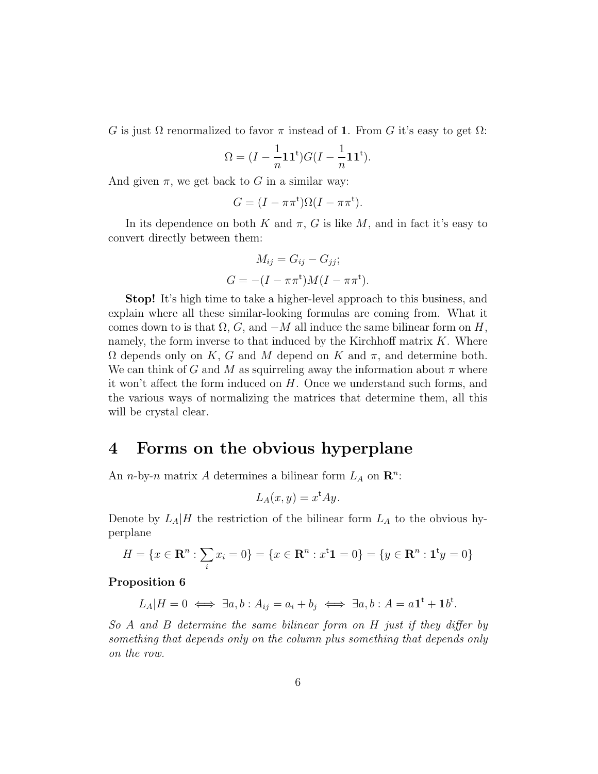G is just  $\Omega$  renormalized to favor  $\pi$  instead of 1. From G it's easy to get  $\Omega$ :

$$
\Omega = (I - \frac{1}{n} \mathbf{1} \mathbf{1}^{\mathsf{t}}) G (I - \frac{1}{n} \mathbf{1} \mathbf{1}^{\mathsf{t}}).
$$

And given  $\pi$ , we get back to G in a similar way:

$$
G = (I - \pi \pi^{\mathsf{t}})\Omega(I - \pi \pi^{\mathsf{t}}).
$$

In its dependence on both K and  $\pi$ , G is like M, and in fact it's easy to convert directly between them:

$$
M_{ij} = G_{ij} - G_{jj};
$$
  

$$
G = -(I - \pi \pi^{\mathsf{t}})M(I - \pi \pi^{\mathsf{t}}).
$$

Stop! It's high time to take a higher-level approach to this business, and explain where all these similar-looking formulas are coming from. What it comes down to is that  $\Omega$ , G, and  $-M$  all induce the same bilinear form on H, namely, the form inverse to that induced by the Kirchhoff matrix  $K$ . Where  $\Omega$  depends only on K, G and M depend on K and  $\pi$ , and determine both. We can think of G and M as squirreling away the information about  $\pi$  where it won't affect the form induced on  $H$ . Once we understand such forms, and the various ways of normalizing the matrices that determine them, all this will be crystal clear.

## 4 Forms on the obvious hyperplane

An *n*-by-*n* matrix A determines a bilinear form  $L_A$  on  $\mathbb{R}^n$ :

$$
L_A(x,y) = x^{\mathsf{t}}Ay.
$$

Denote by  $L_A|H$  the restriction of the bilinear form  $L_A$  to the obvious hyperplane

$$
H = \{x \in \mathbf{R}^n : \sum_i x_i = 0\} = \{x \in \mathbf{R}^n : x^{\mathsf{T}} \mathbf{1} = 0\} = \{y \in \mathbf{R}^n : \mathbf{1}^{\mathsf{T}} y = 0\}
$$

#### Proposition 6

$$
L_A|H=0 \iff \exists a, b: A_{ij}=a_i+b_j \iff \exists a, b: A=a1^t+1b^t.
$$

So A and B determine the same bilinear form on H just if they differ by something that depends only on the column plus something that depends only on the row.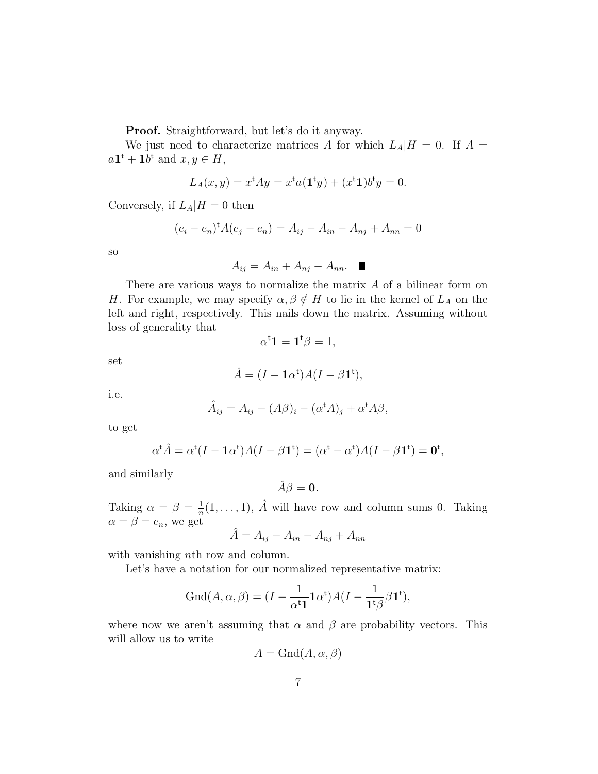Proof. Straightforward, but let's do it anyway.

We just need to characterize matrices A for which  $L_A|H = 0$ . If  $A =$  $a\mathbf{1}^{\mathsf{t}} + \mathbf{1}b^{\mathsf{t}}$  and  $x, y \in H$ ,

$$
L_A(x,y) = x^{\mathsf{t}} A y = x^{\mathsf{t}} a(\mathbf{1}^{\mathsf{t}} y) + (x^{\mathsf{t}} \mathbf{1}) b^{\mathsf{t}} y = 0.
$$

Conversely, if  $L_A|H=0$  then

$$
(e_i - e_n)^{\dagger} A (e_j - e_n) = A_{ij} - A_{in} - A_{nj} + A_{nn} = 0
$$

so

$$
A_{ij} = A_{in} + A_{nj} - A_{nn}. \quad \blacksquare
$$

There are various ways to normalize the matrix  $A$  of a bilinear form on H. For example, we may specify  $\alpha, \beta \notin H$  to lie in the kernel of  $L_A$  on the left and right, respectively. This nails down the matrix. Assuming without loss of generality that

$$
\alpha^{\sf t}{\bf 1}={\bf 1}^{\sf t}\beta=1,
$$

set

$$
\hat{A} = (I - \mathbf{1}\alpha^{\mathsf{t}})A(I - \beta \mathbf{1}^{\mathsf{t}}),
$$

i.e.

$$
\hat{A}_{ij} = A_{ij} - (A\beta)_i - (\alpha^{\mathsf{t}}A)_j + \alpha^{\mathsf{t}}A\beta,
$$

to get

$$
\alpha^{\mathbf{t}}\hat{A} = \alpha^{\mathbf{t}}(I - \mathbf{1}\alpha^{\mathbf{t}})A(I - \beta \mathbf{1}^{\mathbf{t}}) = (\alpha^{\mathbf{t}} - \alpha^{\mathbf{t}})A(I - \beta \mathbf{1}^{\mathbf{t}}) = \mathbf{0}^{\mathbf{t}},
$$

and similarly

$$
\hat{A}\beta = \mathbf{0}.
$$

Taking  $\alpha = \beta = \frac{1}{n}$  $\frac{1}{n}(1,\ldots,1), \hat{A}$  will have row and column sums 0. Taking  $\alpha = \beta = e_n$ , we get

$$
\hat{A} = A_{ij} - A_{in} - A_{nj} + A_{nn}
$$

with vanishing *nth* row and column.

Let's have a notation for our normalized representative matrix:

$$
\operatorname{Gnd}(A, \alpha, \beta) = (I - \frac{1}{\alpha^{\mathsf{t}} \mathbf{1}} \mathbf{1} \alpha^{\mathsf{t}}) A (I - \frac{1}{\mathbf{1}^{\mathsf{t}} \beta} \beta \mathbf{1}^{\mathsf{t}}),
$$

where now we aren't assuming that  $\alpha$  and  $\beta$  are probability vectors. This will allow us to write

$$
A = \text{Gnd}(A, \alpha, \beta)
$$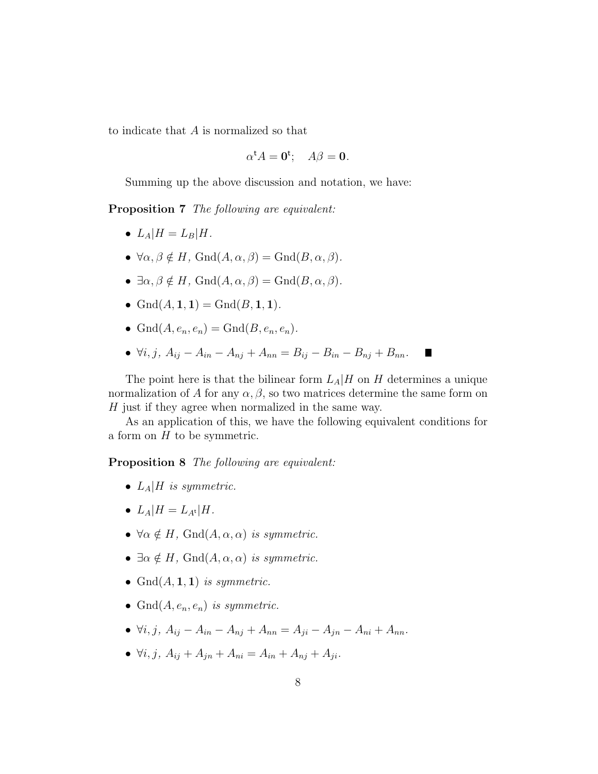to indicate that A is normalized so that

$$
\alpha^{\mathsf{t}} A = \mathbf{0}^{\mathsf{t}}; \quad A\beta = \mathbf{0}.
$$

Summing up the above discussion and notation, we have:

Proposition 7 The following are equivalent:

- $L_A|H = L_B|H$ .
- $\forall \alpha, \beta \notin H$ , Gnd $(A, \alpha, \beta) = \text{Gnd}(B, \alpha, \beta)$ .
- $\exists \alpha, \beta \notin H$ ,  $\text{Gnd}(A, \alpha, \beta) = \text{Gnd}(B, \alpha, \beta)$ .
- $\text{Gnd}(A, 1, 1) = \text{Gnd}(B, 1, 1).$
- $\text{Gnd}(A, e_n, e_n) = \text{Gnd}(B, e_n, e_n).$
- $\forall i, j, A_{ij} A_{in} A_{ni} + A_{nn} = B_{ij} B_{in} B_{ni} + B_{nn}$ .

The point here is that the bilinear form  $L_A|H$  on H determines a unique normalization of A for any  $\alpha, \beta$ , so two matrices determine the same form on  $H$  just if they agree when normalized in the same way.

As an application of this, we have the following equivalent conditions for a form on  $H$  to be symmetric.

Proposition 8 The following are equivalent:

- $L_A|H$  is symmetric.
- $L_A|H = L_{A^t}|H$ .
- $\forall \alpha \notin H$ , Gnd $(A, \alpha, \alpha)$  is symmetric.
- $\exists \alpha \notin H$ , Gnd $(A, \alpha, \alpha)$  is symmetric.
- Gnd $(A, 1, 1)$  is symmetric.
- Gnd $(A, e_n, e_n)$  is symmetric.
- $\forall i, j, A_{ij} A_{in} A_{ni} + A_{nn} = A_{ii} A_{in} A_{ni} + A_{nn}$ .
- $\forall i, j, A_{ij} + A_{jn} + A_{ni} = A_{in} + A_{nj} + A_{ji}.$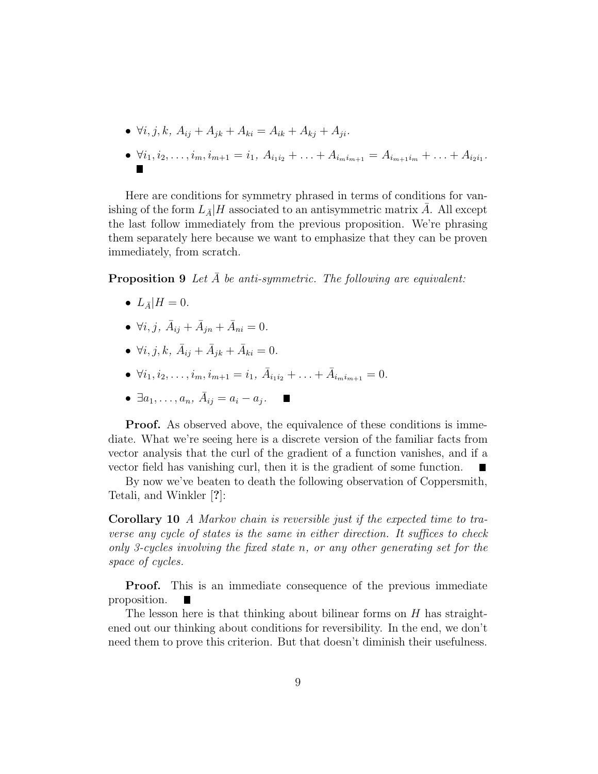$$
\bullet \ \forall i, j, k, A_{ij} + A_{jk} + A_{ki} = A_{ik} + A_{kj} + A_{ji}.
$$

•  $\forall i_1, i_2, \ldots, i_m, i_{m+1} = i_1, A_{i_1 i_2} + \ldots + A_{i_m i_{m+1}} = A_{i_{m+1} i_m} + \ldots + A_{i_2 i_1}$ .

Here are conditions for symmetry phrased in terms of conditions for vanishing of the form  $L_{\bar{A}}/H$  associated to an antisymmetric matrix A. All except the last follow immediately from the previous proposition. We're phrasing them separately here because we want to emphasize that they can be proven immediately, from scratch.

**Proposition 9** Let  $A$  be anti-symmetric. The following are equivalent:

- $L_{\bar{A}}|H=0$ .
- $\forall i, j, \ \bar{A}_{ij} + \bar{A}_{jn} + \bar{A}_{ni} = 0.$
- $\forall i, j, k, \ \bar{A}_{ij} + \bar{A}_{jk} + \bar{A}_{ki} = 0.$
- $\forall i_1, i_2, \ldots, i_m, i_{m+1} = i_1, \ \bar{A}_{i_1 i_2} + \ldots + \bar{A}_{i_m i_{m+1}} = 0.$
- $\exists a_1, \ldots, a_n, \ \bar{A}_{ij} = a_i a_j.$

**Proof.** As observed above, the equivalence of these conditions is immediate. What we're seeing here is a discrete version of the familiar facts from vector analysis that the curl of the gradient of a function vanishes, and if a vector field has vanishing curl, then it is the gradient of some function. ▉

By now we've beaten to death the following observation of Coppersmith, Tetali, and Winkler [?]:

Corollary 10 A Markov chain is reversible just if the expected time to traverse any cycle of states is the same in either direction. It suffices to check only 3-cycles involving the fixed state n, or any other generating set for the space of cycles.

**Proof.** This is an immediate consequence of the previous immediate proposition.

The lesson here is that thinking about bilinear forms on  $H$  has straightened out our thinking about conditions for reversibility. In the end, we don't need them to prove this criterion. But that doesn't diminish their usefulness.